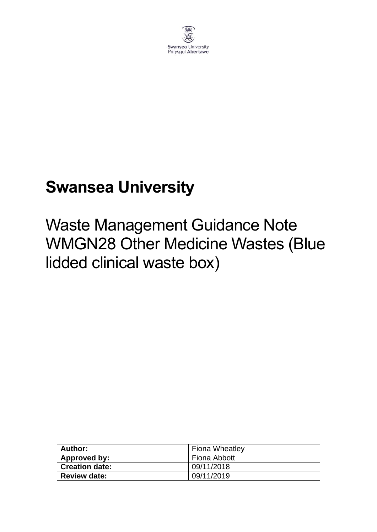

# **Swansea University**

Waste Management Guidance Note WMGN28 Other Medicine Wastes (Blue lidded clinical waste box)

| <b>Author:</b>        | <b>Fiona Wheatley</b> |
|-----------------------|-----------------------|
| Approved by:          | Fiona Abbott          |
| <b>Creation date:</b> | 09/11/2018            |
| <b>Review date:</b>   | 09/11/2019            |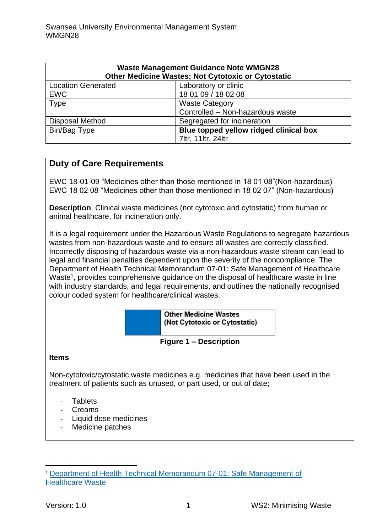| <b>Waste Management Guidance Note WMGN28</b><br>Other Medicine Wastes; Not Cytotoxic or Cytostatic |                                        |
|----------------------------------------------------------------------------------------------------|----------------------------------------|
| <b>Location Generated</b>                                                                          | Laboratory or clinic                   |
| <b>EWC</b>                                                                                         | 18 01 09 / 18 02 08                    |
| <b>Type</b>                                                                                        | <b>Waste Category</b>                  |
|                                                                                                    | Controlled - Non-hazardous waste       |
| <b>Disposal Method</b>                                                                             | Segregated for incineration            |
| Bin/Bag Type                                                                                       | Blue topped yellow ridged clinical box |
|                                                                                                    | 7ltr, 11ltr, 24ltr                     |

## **Duty of Care Requirements**

EWC 18-01-09 "Medicines other than those mentioned in 18 01 08"(Non-hazardous) EWC 18 02 08 "Medicines other than those mentioned in 18 02 07" (Non-hazardous)

**Description**; Clinical waste medicines (not cytotoxic and cytostatic) from human or animal healthcare, for incineration only.

It is a legal requirement under the Hazardous Waste Regulations to segregate hazardous wastes from non-hazardous waste and to ensure all wastes are correctly classified. Incorrectly disposing of hazardous waste via a non-hazardous waste stream can lead to legal and financial penalties dependent upon the severity of the noncompliance. The Department of Health Technical Memorandum 07-01: Safe Management of Healthcare Waste<sup>1</sup>, provides comprehensive guidance on the disposal of healthcare waste in line with industry standards, and legal requirements, and outlines the nationally recognised colour coded system for healthcare/clinical wastes.

> **Other Medicine Wastes** (Not Cytotoxic or Cytostatic)

**Figure 1 – Description**

#### **Items**

Non-cytotoxic/cytostatic waste medicines e.g. medicines that have been used in the treatment of patients such as unused, or part used, or out of date;

- Tablets
- Creams
- Liquid dose medicines
- Medicine patches

<sup>1</sup> [Department of Health Technical Memorandum 07-01: Safe Management of](https://www.gov.uk/government/publications/guidance-on-the-safe-management-of-healthcare-waste)  [Healthcare Waste](https://www.gov.uk/government/publications/guidance-on-the-safe-management-of-healthcare-waste)